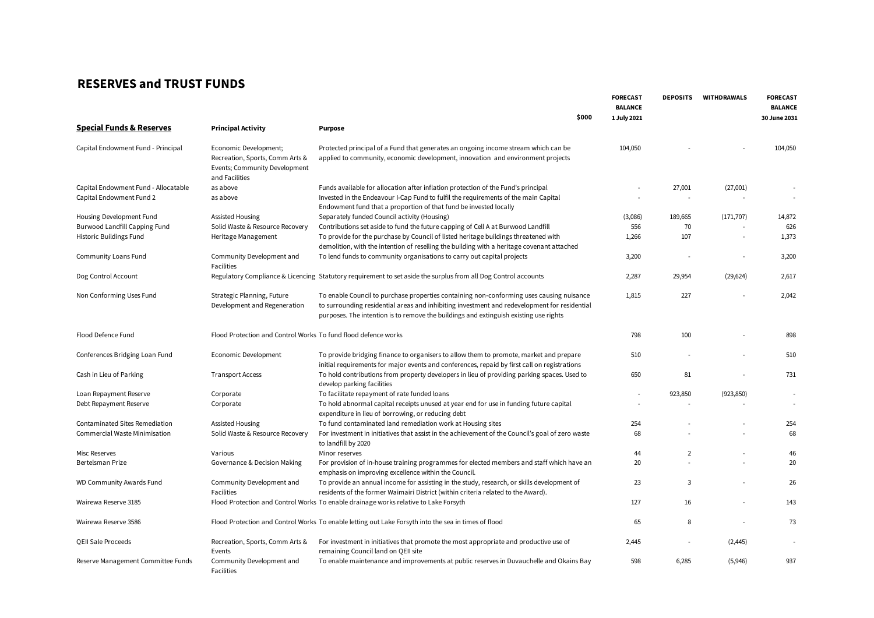## **RESERVES and TRUST FUNDS**

|                                                  |                                                                  | \$000                                                                                                                                                                | <b>FORECAST</b><br><b>BALANCE</b><br>1 July 2021 | <b>DEPOSITS</b> | WITHDRAWALS | <b>FORECAST</b><br><b>BALANCE</b><br>30 June 2031 |
|--------------------------------------------------|------------------------------------------------------------------|----------------------------------------------------------------------------------------------------------------------------------------------------------------------|--------------------------------------------------|-----------------|-------------|---------------------------------------------------|
| <b>Special Funds &amp; Reserves</b>              | <b>Principal Activity</b>                                        | <b>Purpose</b>                                                                                                                                                       |                                                  |                 |             |                                                   |
|                                                  |                                                                  |                                                                                                                                                                      |                                                  |                 |             |                                                   |
| Capital Endowment Fund - Principal               | Economic Development;                                            | Protected principal of a Fund that generates an ongoing income stream which can be                                                                                   | 104,050                                          |                 |             | 104,050                                           |
|                                                  | Recreation, Sports, Comm Arts &<br>Events; Community Development | applied to community, economic development, innovation and environment projects                                                                                      |                                                  |                 |             |                                                   |
|                                                  | and Facilities                                                   |                                                                                                                                                                      |                                                  |                 |             |                                                   |
| Capital Endowment Fund - Allocatable             | as above                                                         | Funds available for allocation after inflation protection of the Fund's principal                                                                                    |                                                  | 27,001          | (27,001)    | $\sim$                                            |
| Capital Endowment Fund 2                         | as above                                                         | Invested in the Endeavour I-Cap Fund to fulfil the requirements of the main Capital                                                                                  |                                                  |                 |             | $\overline{a}$                                    |
|                                                  |                                                                  | Endowment fund that a proportion of that fund be invested locally                                                                                                    |                                                  |                 |             |                                                   |
| Housing Development Fund                         | Assisted Housing                                                 | Separately funded Council activity (Housing)                                                                                                                         | (3,086)                                          | 189,665         | (171, 707)  | 14,872                                            |
| <b>Burwood Landfill Capping Fund</b>             | Solid Waste & Resource Recovery                                  | Contributions set aside to fund the future capping of Cell A at Burwood Landfill                                                                                     | 556                                              | 70              |             | 626                                               |
| Historic Buildings Fund                          | Heritage Management                                              | To provide for the purchase by Council of listed heritage buildings threatened with                                                                                  | 1,266                                            | 107             |             | 1,373                                             |
| Community Loans Fund                             | Community Development and                                        | demolition, with the intention of reselling the building with a heritage covenant attached<br>To lend funds to community organisations to carry out capital projects | 3,200                                            |                 |             | 3,200                                             |
|                                                  | <b>Facilities</b>                                                |                                                                                                                                                                      |                                                  |                 |             |                                                   |
| Dog Control Account                              |                                                                  | Regulatory Compliance & Licencing Statutory requirement to set aside the surplus from all Dog Control accounts                                                       | 2,287                                            | 29,954          | (29, 624)   | 2,617                                             |
|                                                  |                                                                  |                                                                                                                                                                      |                                                  |                 |             |                                                   |
| Non Conforming Uses Fund                         | Strategic Planning, Future                                       | To enable Council to purchase properties containing non-conforming uses causing nuisance                                                                             | 1,815                                            | 227             |             | 2,042                                             |
|                                                  | Development and Regeneration                                     | to surrounding residential areas and inhibiting investment and redevelopment for residential                                                                         |                                                  |                 |             |                                                   |
|                                                  |                                                                  | purposes. The intention is to remove the buildings and extinguish existing use rights                                                                                |                                                  |                 |             |                                                   |
| Flood Defence Fund                               | Flood Protection and Control Works To fund flood defence works   |                                                                                                                                                                      | 798                                              | 100             |             | 898                                               |
|                                                  |                                                                  |                                                                                                                                                                      |                                                  |                 |             |                                                   |
| Conferences Bridging Loan Fund                   | Economic Development                                             | To provide bridging finance to organisers to allow them to promote, market and prepare                                                                               | 510                                              |                 |             | 510                                               |
|                                                  |                                                                  | initial requirements for major events and conferences, repaid by first call on registrations                                                                         |                                                  |                 |             |                                                   |
| Cash in Lieu of Parking                          | <b>Transport Access</b>                                          | To hold contributions from property developers in lieu of providing parking spaces. Used to                                                                          | 650                                              | 81              |             | 731                                               |
|                                                  |                                                                  | develop parking facilities                                                                                                                                           |                                                  |                 |             |                                                   |
| Loan Repayment Reserve<br>Debt Repayment Reserve | Corporate<br>Corporate                                           | To facilitate repayment of rate funded loans<br>To hold abnormal capital receipts unused at year end for use in funding future capital                               | ÷,                                               | 923,850         | (923, 850)  |                                                   |
|                                                  |                                                                  | expenditure in lieu of borrowing, or reducing debt                                                                                                                   |                                                  |                 |             |                                                   |
| Contaminated Sites Remediation                   | Assisted Housing                                                 | To fund contaminated land remediation work at Housing sites                                                                                                          | 254                                              |                 |             | 254                                               |
| Commercial Waste Minimisation                    | Solid Waste & Resource Recovery                                  | For investment in initiatives that assist in the achievement of the Council's goal of zero waste                                                                     | 68                                               |                 |             | 68                                                |
|                                                  |                                                                  | to landfill by 2020                                                                                                                                                  |                                                  |                 |             |                                                   |
| <b>Misc Reserves</b>                             | Various                                                          | Minor reserves                                                                                                                                                       | 44                                               | $\overline{2}$  |             | 46                                                |
| Bertelsman Prize                                 | Governance & Decision Making                                     | For provision of in-house training programmes for elected members and staff which have an<br>emphasis on improving excellence within the Council.                    | 20                                               |                 |             | 20                                                |
| <b>WD Community Awards Fund</b>                  | Community Development and                                        | To provide an annual income for assisting in the study, research, or skills development of                                                                           | 23                                               | 3               |             | 26                                                |
|                                                  | Facilities                                                       | residents of the former Waimairi District (within criteria related to the Award).                                                                                    |                                                  |                 |             |                                                   |
| Wairewa Reserve 3185                             |                                                                  | Flood Protection and Control Works To enable drainage works relative to Lake Forsyth                                                                                 | 127                                              | 16              |             | 143                                               |
| Wairewa Reserve 3586                             |                                                                  | Flood Protection and Control Works To enable letting out Lake Forsyth into the sea in times of flood                                                                 | 65                                               | 8               |             | 73                                                |
| QEII Sale Proceeds                               | Recreation, Sports, Comm Arts &                                  | For investment in initiatives that promote the most appropriate and productive use of                                                                                | 2,445                                            |                 | (2, 445)    |                                                   |
|                                                  | Events                                                           | remaining Council land on QEII site                                                                                                                                  |                                                  |                 |             |                                                   |
| Reserve Management Committee Funds               | Community Development and<br><b>Facilities</b>                   | To enable maintenance and improvements at public reserves in Duvauchelle and Okains Bay                                                                              | 598                                              | 6,285           | (5,946)     | 937                                               |